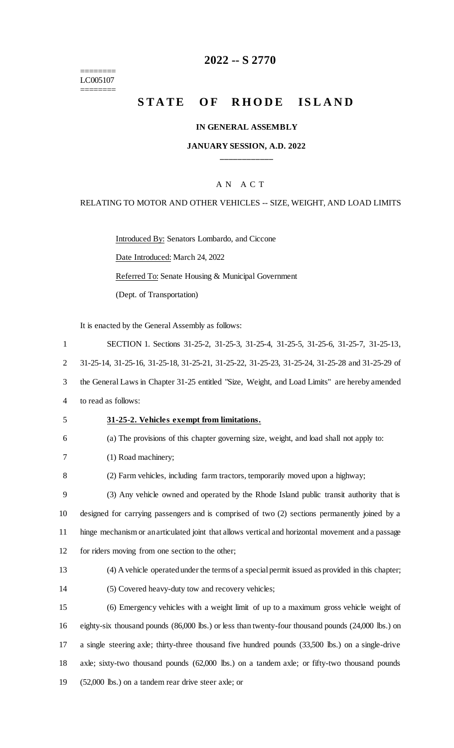======== LC005107

 $=$ 

# **2022 -- S 2770**

# STATE OF RHODE ISLAND

## **IN GENERAL ASSEMBLY**

### **JANUARY SESSION, A.D. 2022 \_\_\_\_\_\_\_\_\_\_\_\_**

# A N A C T

### RELATING TO MOTOR AND OTHER VEHICLES -- SIZE, WEIGHT, AND LOAD LIMITS

Introduced By: Senators Lombardo, and Ciccone

Date Introduced: March 24, 2022

Referred To: Senate Housing & Municipal Government

(Dept. of Transportation)

It is enacted by the General Assembly as follows:

| $\mathbf{1}$   | SECTION 1. Sections 31-25-2, 31-25-3, 31-25-4, 31-25-5, 31-25-6, 31-25-7, 31-25-13,                |
|----------------|----------------------------------------------------------------------------------------------------|
| $\overline{2}$ | 31-25-14, 31-25-16, 31-25-18, 31-25-21, 31-25-22, 31-25-23, 31-25-24, 31-25-28 and 31-25-29 of     |
| 3              | the General Laws in Chapter 31-25 entitled "Size, Weight, and Load Limits" are hereby amended      |
| 4              | to read as follows:                                                                                |
| 5              | 31-25-2. Vehicles exempt from limitations.                                                         |
| 6              | (a) The provisions of this chapter governing size, weight, and load shall not apply to:            |
| 7              | (1) Road machinery;                                                                                |
| 8              | (2) Farm vehicles, including farm tractors, temporarily moved upon a highway;                      |
| 9              | (3) Any vehicle owned and operated by the Rhode Island public transit authority that is            |
| 10             | designed for carrying passengers and is comprised of two (2) sections permanently joined by a      |
| 11             | hinge mechanism or an articulated joint that allows vertical and horizontal movement and a passage |
| 12             | for riders moving from one section to the other;                                                   |
| 13             | (4) A vehicle operated under the terms of a special permit issued as provided in this chapter;     |
| 14             | (5) Covered heavy-duty tow and recovery vehicles;                                                  |
| 15             | (6) Emergency vehicles with a weight limit of up to a maximum gross vehicle weight of              |
| 16             | eighty-six thousand pounds (86,000 lbs.) or less than twenty-four thousand pounds (24,000 lbs.) on |
| 17             | a single steering axle; thirty-three thousand five hundred pounds (33,500 lbs.) on a single-drive  |
| 18             | axle; sixty-two thousand pounds (62,000 lbs.) on a tandem axle; or fifty-two thousand pounds       |
|                |                                                                                                    |

19 (52,000 lbs.) on a tandem rear drive steer axle; or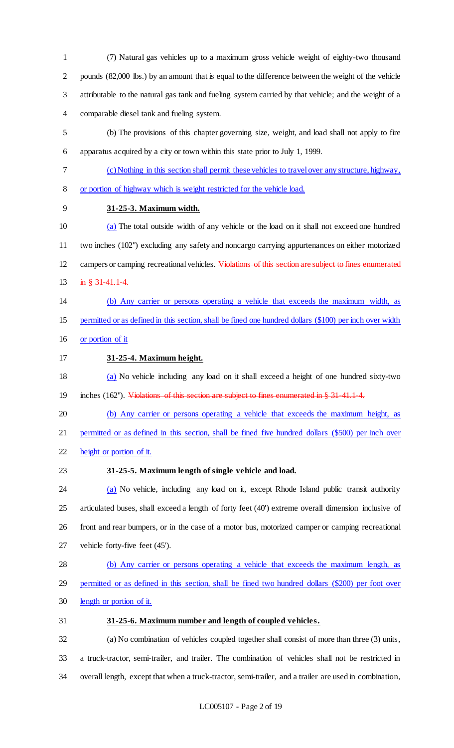(7) Natural gas vehicles up to a maximum gross vehicle weight of eighty-two thousand pounds (82,000 lbs.) by an amount that is equal to the difference between the weight of the vehicle attributable to the natural gas tank and fueling system carried by that vehicle; and the weight of a comparable diesel tank and fueling system.

 (b) The provisions of this chapter governing size, weight, and load shall not apply to fire apparatus acquired by a city or town within this state prior to July 1, 1999.

- 
- (c) Nothing in this section shall permit these vehicles to travel over any structure, highway, or portion of highway which is weight restricted for the vehicle load.
- **31-25-3. Maximum width.**

 (a) The total outside width of any vehicle or the load on it shall not exceed one hundred two inches (102") excluding any safety and noncargo carrying appurtenances on either motorized 12 campers or camping recreational vehicles. Violations of this section are subject to fines enumerated 13 in  $\frac{3}{10}$  + 31-41.1-4.

- (b) Any carrier or persons operating a vehicle that exceeds the maximum width, as permitted or as defined in this section, shall be fined one hundred dollars (\$100) per inch over width
- or portion of it
- **31-25-4. Maximum height.**

 (a) No vehicle including any load on it shall exceed a height of one hundred sixty-two 19 inches (162"). Violations of this section are subject to fines enumerated in § 31-41.1-4.

(b) Any carrier or persons operating a vehicle that exceeds the maximum height, as

permitted or as defined in this section, shall be fined five hundred dollars (\$500) per inch over

- height or portion of it.
- 

# **31-25-5. Maximum length of single vehicle and load.**

24 (a) No vehicle, including any load on it, except Rhode Island public transit authority articulated buses, shall exceed a length of forty feet (40') extreme overall dimension inclusive of front and rear bumpers, or in the case of a motor bus, motorized camper or camping recreational vehicle forty-five feet (45').

- (b) Any carrier or persons operating a vehicle that exceeds the maximum length, as
- permitted or as defined in this section, shall be fined two hundred dollars (\$200) per foot over
- length or portion of it.
- **31-25-6. Maximum number and length of coupled vehicles.**

 (a) No combination of vehicles coupled together shall consist of more than three (3) units, a truck-tractor, semi-trailer, and trailer. The combination of vehicles shall not be restricted in overall length, except that when a truck-tractor, semi-trailer, and a trailer are used in combination,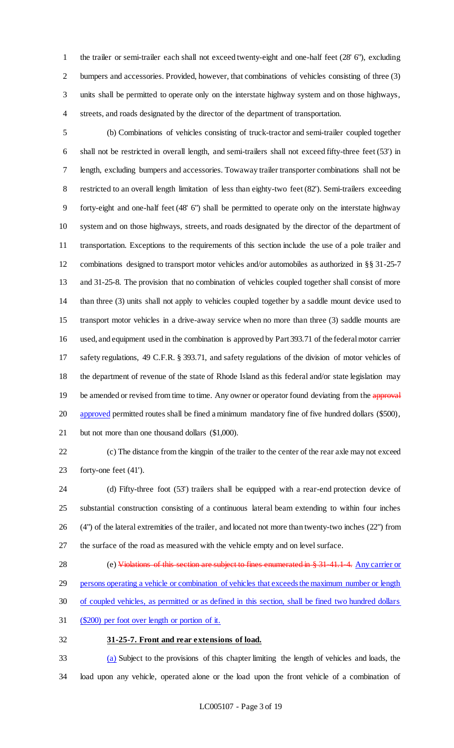the trailer or semi-trailer each shall not exceed twenty-eight and one-half feet (28' 6"), excluding 2 bumpers and accessories. Provided, however, that combinations of vehicles consisting of three (3) units shall be permitted to operate only on the interstate highway system and on those highways, streets, and roads designated by the director of the department of transportation.

 (b) Combinations of vehicles consisting of truck-tractor and semi-trailer coupled together shall not be restricted in overall length, and semi-trailers shall not exceed fifty-three feet (53') in length, excluding bumpers and accessories. Towaway trailer transporter combinations shall not be restricted to an overall length limitation of less than eighty-two feet (82'). Semi-trailers exceeding forty-eight and one-half feet (48' 6") shall be permitted to operate only on the interstate highway system and on those highways, streets, and roads designated by the director of the department of transportation. Exceptions to the requirements of this section include the use of a pole trailer and combinations designed to transport motor vehicles and/or automobiles as authorized in §§ 31-25-7 and 31-25-8. The provision that no combination of vehicles coupled together shall consist of more than three (3) units shall not apply to vehicles coupled together by a saddle mount device used to transport motor vehicles in a drive-away service when no more than three (3) saddle mounts are used, and equipment used in the combination is approved by Part 393.71 of the federal motor carrier safety regulations, 49 C.F.R. § 393.71, and safety regulations of the division of motor vehicles of the department of revenue of the state of Rhode Island as this federal and/or state legislation may 19 be amended or revised from time to time. Any owner or operator found deviating from the approval 20 approved permitted routes shall be fined a minimum mandatory fine of five hundred dollars (\$500), but not more than one thousand dollars (\$1,000).

 (c) The distance from the kingpin of the trailer to the center of the rear axle may not exceed forty-one feet (41').

- (d) Fifty-three foot (53') trailers shall be equipped with a rear-end protection device of substantial construction consisting of a continuous lateral beam extending to within four inches (4") of the lateral extremities of the trailer, and located not more than twenty-two inches (22") from the surface of the road as measured with the vehicle empty and on level surface.
- 28 (e) Violations of this section are subject to fines enumerated in § 31-41.1-4. Any carrier or
- persons operating a vehicle or combination of vehicles that exceeds the maximum number or length
- of coupled vehicles, as permitted or as defined in this section, shall be fined two hundred dollars
- (\$200) per foot over length or portion of it.

#### **31-25-7. Front and rear extensions of load.**

 (a) Subject to the provisions of this chapter limiting the length of vehicles and loads, the load upon any vehicle, operated alone or the load upon the front vehicle of a combination of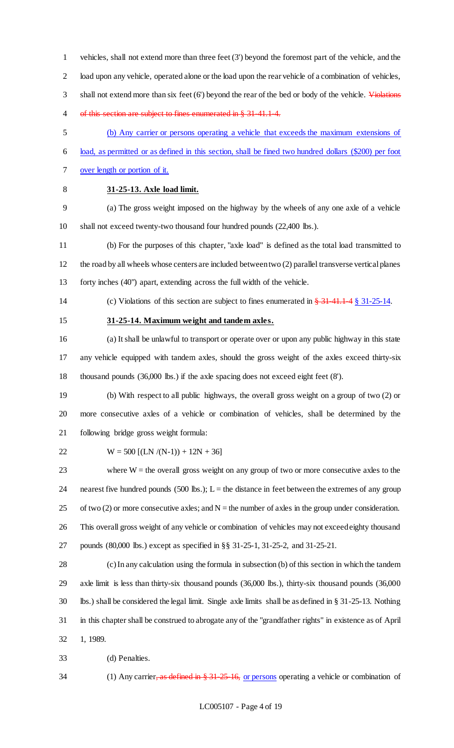vehicles, shall not extend more than three feet (3') beyond the foremost part of the vehicle, and the load upon any vehicle, operated alone or the load upon the rear vehicle of a combination of vehicles, 3 shall not extend more than six feet  $(6')$  beyond the rear of the bed or body of the vehicle. Violations of this section are subject to fines enumerated in § 31-41.1-4.

- (b) Any carrier or persons operating a vehicle that exceeds the maximum extensions of
- load, as permitted or as defined in this section, shall be fined two hundred dollars (\$200) per foot
- over length or portion of it.
- 

# **31-25-13. Axle load limit.**

 (a) The gross weight imposed on the highway by the wheels of any one axle of a vehicle shall not exceed twenty-two thousand four hundred pounds (22,400 lbs.).

- (b) For the purposes of this chapter, "axle load" is defined as the total load transmitted to the road by all wheels whose centers are included between two (2) parallel transverse vertical planes forty inches (40") apart, extending across the full width of the vehicle.
- 14 (c) Violations of this section are subject to fines enumerated in  $\frac{24}{34}$  41.1.4 § 31-25-14.
- 

### **31-25-14. Maximum weight and tandem axles.**

 (a) It shall be unlawful to transport or operate over or upon any public highway in this state any vehicle equipped with tandem axles, should the gross weight of the axles exceed thirty-six thousand pounds (36,000 lbs.) if the axle spacing does not exceed eight feet (8').

 (b) With respect to all public highways, the overall gross weight on a group of two (2) or more consecutive axles of a vehicle or combination of vehicles, shall be determined by the following bridge gross weight formula:

### 22 W = 500  $[(LN/(N-1))+12N+36]$

 where W = the overall gross weight on any group of two or more consecutive axles to the 24 nearest five hundred pounds  $(500 \text{ lbs.})$ ; L = the distance in feet between the extremes of any group 25 of two (2) or more consecutive axles; and  $N =$  the number of axles in the group under consideration. This overall gross weight of any vehicle or combination of vehicles may not exceed eighty thousand pounds (80,000 lbs.) except as specified in §§ 31-25-1, 31-25-2, and 31-25-21.

 (c) In any calculation using the formula in subsection (b) of this section in which the tandem axle limit is less than thirty-six thousand pounds (36,000 lbs.), thirty-six thousand pounds (36,000 lbs.) shall be considered the legal limit. Single axle limits shall be as defined in § 31-25-13. Nothing in this chapter shall be construed to abrogate any of the "grandfather rights" in existence as of April 1, 1989.

- (d) Penalties.
- 34 (1) Any carrier, as defined in § 31-25-16, or persons operating a vehicle or combination of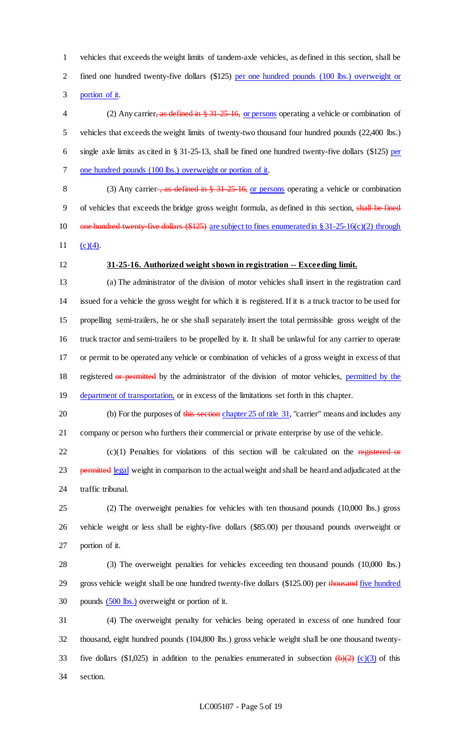vehicles that exceeds the weight limits of tandem-axle vehicles, as defined in this section, shall be fined one hundred twenty-five dollars (\$125) per one hundred pounds (100 lbs.) overweight or portion of it.

4 (2) Any carrier, as defined in § 31-25-16, or persons operating a vehicle or combination of vehicles that exceeds the weight limits of twenty-two thousand four hundred pounds (22,400 lbs.) single axle limits as cited in § 31-25-13, shall be fined one hundred twenty-five dollars (\$125) per 7 one hundred pounds (100 lbs.) overweight or portion of it.

8 (3) Any carrier <del>, as defined in § 31-25-16,</del> or persons operating a vehicle or combination of vehicles that exceeds the bridge gross weight formula, as defined in this section, shall be fined 10 one hundred twenty-five dollars (\$125) are subject to fines enumerated in § 31-25-16(c)(2) through 11  $(c)(4)$ .

### **31-25-16. Authorized weight shown in registration -- Exceeding limit.**

 (a) The administrator of the division of motor vehicles shall insert in the registration card issued for a vehicle the gross weight for which it is registered. If it is a truck tractor to be used for propelling semi-trailers, he or she shall separately insert the total permissible gross weight of the truck tractor and semi-trailers to be propelled by it. It shall be unlawful for any carrier to operate or permit to be operated any vehicle or combination of vehicles of a gross weight in excess of that 18 registered or permitted by the administrator of the division of motor vehicles, permitted by the 19 department of transportation, or in excess of the limitations set forth in this chapter.

20 (b) For the purposes of this section chapter 25 of title 31, "carrier" means and includes any company or person who furthers their commercial or private enterprise by use of the vehicle.

 (c)(1) Penalties for violations of this section will be calculated on the registered or 23 permitted legal weight in comparison to the actual weight and shall be heard and adjudicated at the traffic tribunal.

 (2) The overweight penalties for vehicles with ten thousand pounds (10,000 lbs.) gross vehicle weight or less shall be eighty-five dollars (\$85.00) per thousand pounds overweight or portion of it.

 (3) The overweight penalties for vehicles exceeding ten thousand pounds (10,000 lbs.) 29 gross vehicle weight shall be one hundred twenty-five dollars (\$125.00) per thousand five hundred 30 pounds  $(500 \text{ lbs.})$  overweight or portion of it.

 (4) The overweight penalty for vehicles being operated in excess of one hundred four thousand, eight hundred pounds (104,800 lbs.) gross vehicle weight shall be one thousand twenty-33 five dollars (\$1,025) in addition to the penalties enumerated in subsection  $\left(\frac{b}{2}\right)$  (c)(3) of this section.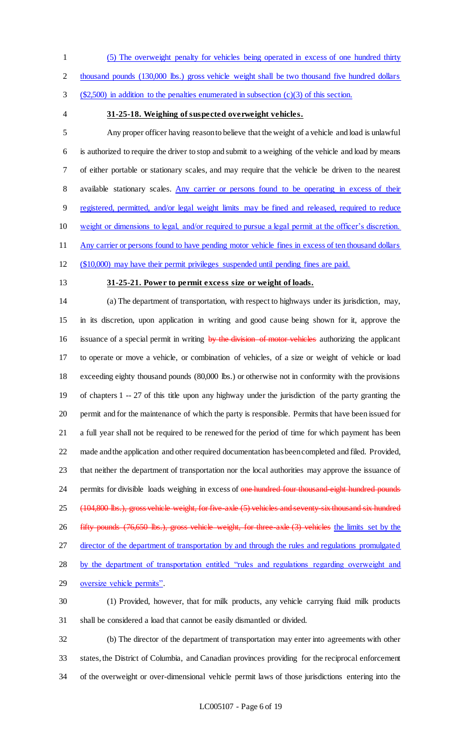(5) The overweight penalty for vehicles being operated in excess of one hundred thirty

2 thousand pounds (130,000 lbs.) gross vehicle weight shall be two thousand five hundred dollars

(\$2,500) in addition to the penalties enumerated in subsection (c)(3) of this section.

### **31-25-18. Weighing of suspected overweight vehicles.**

 Any proper officer having reason to believe that the weight of a vehicle and load is unlawful is authorized to require the driver to stop and submit to a weighing of the vehicle and load by means of either portable or stationary scales, and may require that the vehicle be driven to the nearest 8 available stationary scales. Any carrier or persons found to be operating in excess of their registered, permitted, and/or legal weight limits may be fined and released, required to reduce weight or dimensions to legal, and/or required to pursue a legal permit at the officer's discretion. Any carrier or persons found to have pending motor vehicle fines in excess of ten thousand dollars

(\$10,000) may have their permit privileges suspended until pending fines are paid.

# **31-25-21. Power to permit excess size or weight of loads.**

 (a) The department of transportation, with respect to highways under its jurisdiction, may, in its discretion, upon application in writing and good cause being shown for it, approve the 16 issuance of a special permit in writing by the division of motor vehicles authorizing the applicant to operate or move a vehicle, or combination of vehicles, of a size or weight of vehicle or load exceeding eighty thousand pounds (80,000 lbs.) or otherwise not in conformity with the provisions of chapters 1 -- 27 of this title upon any highway under the jurisdiction of the party granting the permit and for the maintenance of which the party is responsible. Permits that have been issued for a full year shall not be required to be renewed for the period of time for which payment has been made and the application and other required documentation has been completed and filed. Provided, that neither the department of transportation nor the local authorities may approve the issuance of 24 permits for divisible loads weighing in excess of one hundred four thousand eight hundred pounds 25 (104,800 lbs.), gross vehicle weight, for five-axle (5) vehicles and seventy-six thousand six hundred fifty pounds (76,650 lbs.), gross vehicle weight, for three-axle (3) vehicles the limits set by the director of the department of transportation by and through the rules and regulations promulgated by the department of transportation entitled "rules and regulations regarding overweight and oversize vehicle permits". (1) Provided, however, that for milk products, any vehicle carrying fluid milk products shall be considered a load that cannot be easily dismantled or divided.

 (b) The director of the department of transportation may enter into agreements with other states, the District of Columbia, and Canadian provinces providing for the reciprocal enforcement of the overweight or over-dimensional vehicle permit laws of those jurisdictions entering into the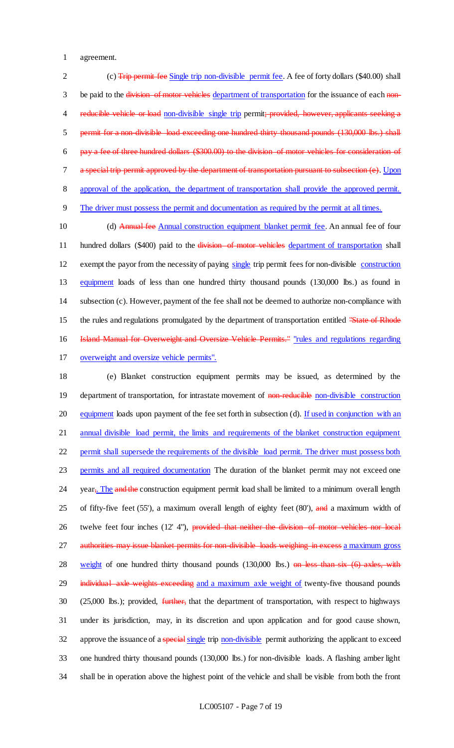1 agreement.

2 (c) Trip permit fee Single trip non-divisible permit fee. A fee of forty dollars (\$40.00) shall 3 be paid to the division of motor vehicles department of transportation for the issuance of each non-4 reducible vehicle or load non-divisible single trip permit; provided, however, applicants seeking a 5 permit for a non-divisible load exceeding one hundred thirty thousand pounds (130,000 lbs.) shall 6 pay a fee of three hundred dollars (\$300.00) to the division of motor vehicles for consideration of 7 a special trip permit approved by the department of transportation pursuant to subsection (e). Upon 8 approval of the application, the department of transportation shall provide the approved permit. 9 The driver must possess the permit and documentation as required by the permit at all times.

10 (d) Annual fee Annual construction equipment blanket permit fee. An annual fee of four 11 hundred dollars (\$400) paid to the division of motor vehicles department of transportation shall 12 exempt the payor from the necessity of paying single trip permit fees for non-divisible construction 13 equipment loads of less than one hundred thirty thousand pounds (130,000 lbs.) as found in 14 subsection (c). However, payment of the fee shall not be deemed to authorize non-compliance with 15 the rules and regulations promulgated by the department of transportation entitled "State of Rhode" 16 Island Manual for Overweight and Oversize Vehicle Permits." "rules and regulations regarding 17 overweight and oversize vehicle permits".

18 (e) Blanket construction equipment permits may be issued, as determined by the 19 department of transportation, for intrastate movement of non-reducible non-divisible construction 20 equipment loads upon payment of the fee set forth in subsection (d). If used in conjunction with an 21 annual divisible load permit, the limits and requirements of the blanket construction equipment 22 permit shall supersede the requirements of the divisible load permit. The driver must possess both 23 permits and all required documentation The duration of the blanket permit may not exceed one 24 year<sub>5</sub>. The and the construction equipment permit load shall be limited to a minimum overall length 25 of fifty-five feet (55'), a maximum overall length of eighty feet (80'), and a maximum width of 26 twelve feet four inches (12' 4"), provided that neither the division of motor vehicles nor local 27 authorities may issue blanket permits for non-divisible loads weighing in excess a maximum gross 28 weight of one hundred thirty thousand pounds (130,000 lbs.) on less than six (6) axles, with 29 individual axle weights exceeding and a maximum axle weight of twenty-five thousand pounds 30 (25,000 lbs.); provided, further, that the department of transportation, with respect to highways 31 under its jurisdiction, may, in its discretion and upon application and for good cause shown, 32 approve the issuance of a special single trip non-divisible permit authorizing the applicant to exceed 33 one hundred thirty thousand pounds (130,000 lbs.) for non-divisible loads. A flashing amber light 34 shall be in operation above the highest point of the vehicle and shall be visible from both the front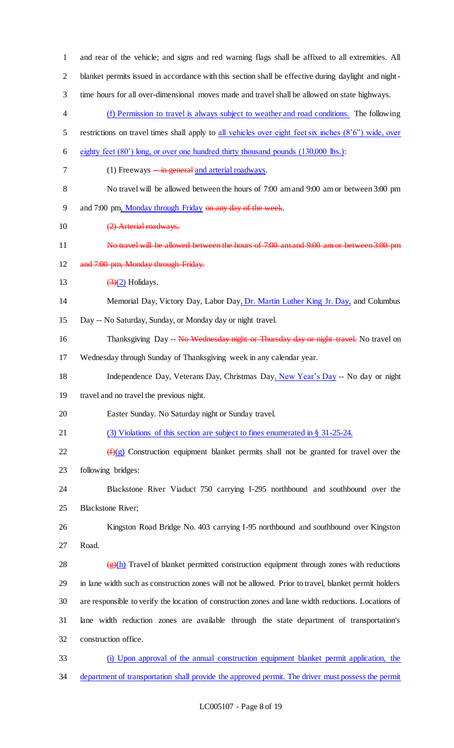| $\mathbf{1}$             | and rear of the vehicle; and signs and red warning flags shall be affixed to all extremities. All                 |  |  |
|--------------------------|-------------------------------------------------------------------------------------------------------------------|--|--|
| $\overline{2}$           | blanket permits issued in accordance with this section shall be effective during daylight and night-              |  |  |
| 3                        | time hours for all over-dimensional moves made and travel shall be allowed on state highways.                     |  |  |
| $\overline{\mathcal{A}}$ | (f) Permission to travel is always subject to weather and road conditions. The following                          |  |  |
| 5                        | restrictions on travel times shall apply to all vehicles over eight feet six inches (8'6") wide, over             |  |  |
| 6                        | eighty feet (80') long, or over one hundred thirty thousand pounds (130,000 lbs.):                                |  |  |
| 7                        | (1) Freeways $-\frac{in}{}$ general and arterial roadways.                                                        |  |  |
| $8\,$                    | No travel will be allowed between the hours of 7:00 am and 9:00 am or between 3:00 pm                             |  |  |
| $\mathbf{9}$             | and 7:00 pm, Monday through Friday on any day of the week.                                                        |  |  |
| 10                       | (2) Arterial roadways.                                                                                            |  |  |
| 11                       | No travel will be allowed between the hours of 7:00 am and 9:00 am or between 3:00 pm                             |  |  |
| 12                       | and 7:00 pm, Monday through Friday.                                                                               |  |  |
| 13                       | $\left(\frac{3}{2}\right)$ Holidays.                                                                              |  |  |
| 14                       | Memorial Day, Victory Day, Labor Day, Dr. Martin Luther King Jr. Day, and Columbus                                |  |  |
| 15                       | Day -- No Saturday, Sunday, or Monday day or night travel.                                                        |  |  |
| 16                       | Thanksgiving Day -- No Wednesday night or Thursday day or night travel. No travel on                              |  |  |
| 17                       | Wednesday through Sunday of Thanksgiving week in any calendar year.                                               |  |  |
| 18                       | Independence Day, Veterans Day, Christmas Day, New Year's Day -- No day or night                                  |  |  |
| 19                       | travel and no travel the previous night.                                                                          |  |  |
| 20                       | Easter Sunday. No Saturday night or Sunday travel.                                                                |  |  |
| 21                       | (3) Violations of this section are subject to fines enumerated in § 31-25-24.                                     |  |  |
| 22                       | $\left(\frac{f}{f}(g)$ Construction equipment blanket permits shall not be granted for travel over the            |  |  |
| 23                       | following bridges:                                                                                                |  |  |
| 24                       | Blackstone River Viaduct 750 carrying I-295 northbound and southbound over the                                    |  |  |
| 25                       | <b>Blackstone River;</b>                                                                                          |  |  |
| 26                       | Kingston Road Bridge No. 403 carrying I-95 northbound and southbound over Kingston                                |  |  |
| 27                       | Road.                                                                                                             |  |  |
| 28                       | $\left(\frac{f(x)}{g(x)}\right)$ Travel of blanket permitted construction equipment through zones with reductions |  |  |
| 29                       | in lane width such as construction zones will not be allowed. Prior to travel, blanket permit holders             |  |  |
| 30                       | are responsible to verify the location of construction zones and lane width reductions. Locations of              |  |  |
| 31                       | lane width reduction zones are available through the state department of transportation's                         |  |  |
| 32                       | construction office.                                                                                              |  |  |
| 33                       | (i) Upon approval of the annual construction equipment blanket permit application, the                            |  |  |
| 34                       | department of transportation shall provide the approved permit. The driver must possess the permit                |  |  |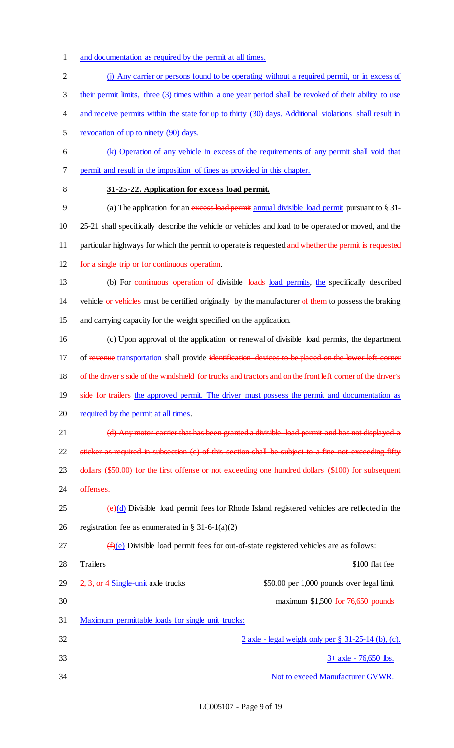- 1 and documentation as required by the permit at all times.
- 2 (j) Any carrier or persons found to be operating without a required permit, or in excess of
- 3 their permit limits, three (3) times within a one year period shall be revoked of their ability to use
- 4 and receive permits within the state for up to thirty (30) days. Additional violations shall result in
- 5 revocation of up to ninety (90) days.
- 6 (k) Operation of any vehicle in excess of the requirements of any permit shall void that 7 permit and result in the imposition of fines as provided in this chapter.
- 

### 8 **31-25-22. Application for excess load permit.**

9 (a) The application for an excess load permit annual divisible load permit pursuant to § 31-10 25-21 shall specifically describe the vehicle or vehicles and load to be operated or moved, and the 11 particular highways for which the permit to operate is requested and whether the permit is requested 12 for a single trip or for continuous operation.

13 (b) For continuous operation of divisible loads load permits, the specifically described 14 vehicle or vehicles must be certified originally by the manufacturer of them to possess the braking 15 and carrying capacity for the weight specified on the application.

16 (c) Upon approval of the application or renewal of divisible load permits, the department 17 of revenue transportation shall provide identification devices to be placed on the lower left corner 18 of the driver's side of the windshield for trucks and tractors and on the front left corner of the driver's 19 side for trailers the approved permit. The driver must possess the permit and documentation as

20 required by the permit at all times.

21 (d) Any motor carrier that has been granted a divisible load permit and has not displayed a

22 sticker as required in subsection (c) of this section shall be subject to a fine not exceeding fifty

23 dollars (\$50.00) for the first offense or not exceeding one hundred dollars (\$100) for subsequent 24 offenses.

 $25$  (e)(d) Divisible load permit fees for Rhode Island registered vehicles are reflected in the 26 registration fee as enumerated in § 31-6-1(a)(2)

- $27 \left( f \right)(e)$  Divisible load permit fees for out-of-state registered vehicles are as follows:
- 28 Trailers \$100 flat fee 29  $2, 3,$  or 4 Single-unit axle trucks \$50.00 per 1,000 pounds over legal limit 30 maximum \$1,500 for 76,650 pounds 31 Maximum permittable loads for single unit trucks:
- $32$  axle legal weight only per  $\S$  31-25-14 (b), (c).  $3+$  axle  $-$  76,650 lbs. 34 Not to exceed Manufacturer GVWR.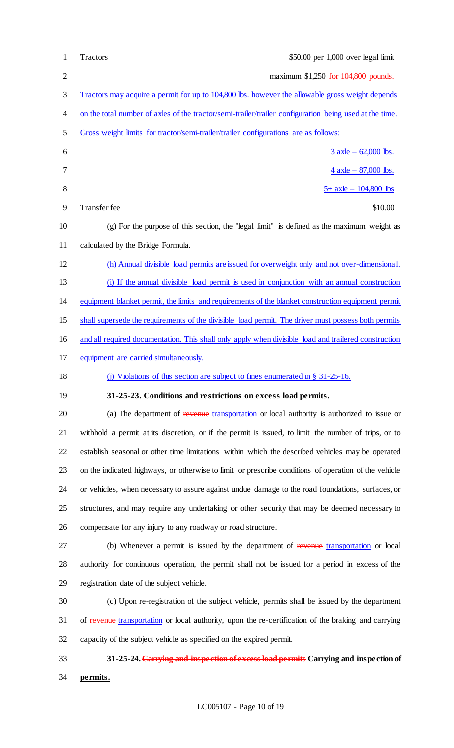| $\mathbf{1}$   | \$50.00 per 1,000 over legal limit<br>Tractors                                                         |
|----------------|--------------------------------------------------------------------------------------------------------|
| $\overline{c}$ | maximum \$1,250 for 104,800 pounds.                                                                    |
| 3              | Tractors may acquire a permit for up to 104,800 lbs. however the allowable gross weight depends        |
| 4              | on the total number of axles of the tractor/semi-trailer/trailer configuration being used at the time. |
| 5              | Gross weight limits for tractor/semi-trailer/trailer configurations are as follows:                    |
| 6              | $3$ axle – 62,000 lbs.                                                                                 |
| 7              | $\frac{4 \text{ axle} - 87,000 \text{ lbs.}}{4 \text{ axle} - 87,000 \text{ lbs.}}$                    |
| $8\,$          | $5+$ axle $-104,800$ lbs                                                                               |
| 9              | Transfer fee<br>\$10.00                                                                                |
| 10             | $(g)$ For the purpose of this section, the "legal limit" is defined as the maximum weight as           |
| 11             | calculated by the Bridge Formula.                                                                      |
| 12             | (h) Annual divisible load permits are issued for overweight only and not over-dimensional.             |
| 13             | (i) If the annual divisible load permit is used in conjunction with an annual construction             |
| 14             | equipment blanket permit, the limits and requirements of the blanket construction equipment permit     |
| 15             | shall supersede the requirements of the divisible load permit. The driver must possess both permits    |
| 16             | and all required documentation. This shall only apply when divisible load and trailered construction   |
| 17             | equipment are carried simultaneously.                                                                  |
| 18             | (j) Violations of this section are subject to fines enumerated in $\S$ 31-25-16.                       |
| 19             | 31-25-23. Conditions and restrictions on excess load permits.                                          |
| 20             | (a) The department of revenue transportation or local authority is authorized to issue or              |
| 21             | withhold a permit at its discretion, or if the permit is issued, to limit the number of trips, or to   |
| 22             | establish seasonal or other time limitations within which the described vehicles may be operated       |
| 23             | on the indicated highways, or otherwise to limit or prescribe conditions of operation of the vehicle   |
| 24             | or vehicles, when necessary to assure against undue damage to the road foundations, surfaces, or       |
| 25             | structures, and may require any undertaking or other security that may be deemed necessary to          |
| 26             | compensate for any injury to any roadway or road structure.                                            |
| 27             | (b) Whenever a permit is issued by the department of revenue transportation or local                   |
| 28             | authority for continuous operation, the permit shall not be issued for a period in excess of the       |
| 29             | registration date of the subject vehicle.                                                              |
| 30             | (c) Upon re-registration of the subject vehicle, permits shall be issued by the department             |
| 31             | of revenue transportation or local authority, upon the re-certification of the braking and carrying    |
| 32             | capacity of the subject vehicle as specified on the expired permit.                                    |
| 33             | 31-25-24. Carrying and inspection of excess load permits Carrying and inspection of                    |
| 34             | permits.                                                                                               |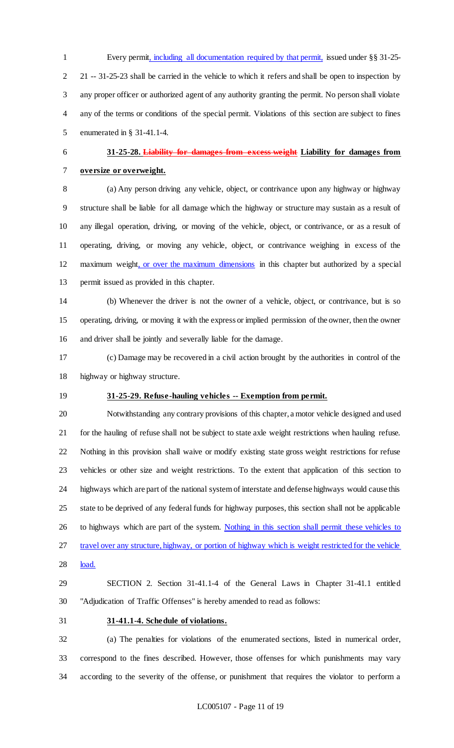Every permit, including all documentation required by that permit, issued under §§ 31-25- 21 -- 31-25-23 shall be carried in the vehicle to which it refers and shall be open to inspection by any proper officer or authorized agent of any authority granting the permit. No person shall violate any of the terms or conditions of the special permit. Violations of this section are subject to fines enumerated in § 31-41.1-4.

# **31-25-28. Liability for damages from excess weight Liability for damages from oversize or overweight.**

 (a) Any person driving any vehicle, object, or contrivance upon any highway or highway structure shall be liable for all damage which the highway or structure may sustain as a result of any illegal operation, driving, or moving of the vehicle, object, or contrivance, or as a result of operating, driving, or moving any vehicle, object, or contrivance weighing in excess of the maximum weight, or over the maximum dimensions in this chapter but authorized by a special permit issued as provided in this chapter.

 (b) Whenever the driver is not the owner of a vehicle, object, or contrivance, but is so operating, driving, or moving it with the express or implied permission of the owner, then the owner and driver shall be jointly and severally liable for the damage.

 (c) Damage may be recovered in a civil action brought by the authorities in control of the highway or highway structure.

# **31-25-29. Refuse-hauling vehicles -- Exemption from permit.**

 Notwithstanding any contrary provisions of this chapter, a motor vehicle designed and used for the hauling of refuse shall not be subject to state axle weight restrictions when hauling refuse. Nothing in this provision shall waive or modify existing state gross weight restrictions for refuse vehicles or other size and weight restrictions. To the extent that application of this section to highways which are part of the national system of interstate and defense highways would cause this state to be deprived of any federal funds for highway purposes, this section shall not be applicable 26 to highways which are part of the system. Nothing in this section shall permit these vehicles to 27 travel over any structure, highway, or portion of highway which is weight restricted for the vehicle 28 load.

 SECTION 2. Section 31-41.1-4 of the General Laws in Chapter 31-41.1 entitled "Adjudication of Traffic Offenses" is hereby amended to read as follows:

### **31-41.1-4. Schedule of violations.**

 (a) The penalties for violations of the enumerated sections, listed in numerical order, correspond to the fines described. However, those offenses for which punishments may vary according to the severity of the offense, or punishment that requires the violator to perform a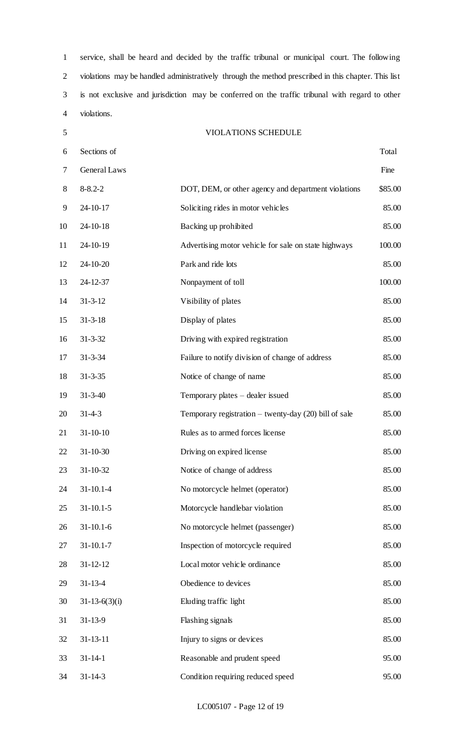service, shall be heard and decided by the traffic tribunal or municipal court. The following violations may be handled administratively through the method prescribed in this chapter. This list is not exclusive and jurisdiction may be conferred on the traffic tribunal with regard to other violations.

VIOLATIONS SCHEDULE

 Sections of Total General Laws Fine 8 8-8.2-2 DOT, DEM, or other agency and department violations \$85.00 24-10-17 Soliciting rides in motor vehicles 85.00 24-10-18 Backing up prohibited 85.00 24-10-19 Advertising motor vehicle for sale on state highways 100.00 24-10-20 Park and ride lots 85.00 24-12-37 Nonpayment of toll 100.00 14 31-3-12 Visibility of plates 85.00 31-3-18 Display of plates 85.00 31-3-32 Driving with expired registration 85.00 31-3-34 Failure to notify division of change of address 85.00 31-3-35 Notice of change of name 85.00 31-3-40 Temporary plates – dealer issued 85.00 31-4-3 Temporary registration – twenty-day (20) bill of sale 85.00 21 31-10-10 Rules as to armed forces license 85.00 22 31-10-30 Driving on expired license 85.00 31-10-32 Notice of change of address 85.00 31-10.1-4 No motorcycle helmet (operator) 85.00 31-10.1-5 Motorcycle handlebar violation 85.00 31-10.1-6 No motorcycle helmet (passenger) 85.00 31-10.1-7 Inspection of motorcycle required 85.00 31-12-12 Local motor vehicle ordinance 85.00 31-13-4 Obedience to devices 85.00 31-13-6(3)(i) Eluding traffic light 85.00 31-13-9 Flashing signals 85.00 32 31-13-11 Injury to signs or devices 85.00 31-14-1 Reasonable and prudent speed 95.00 31-14-3 Condition requiring reduced speed 95.00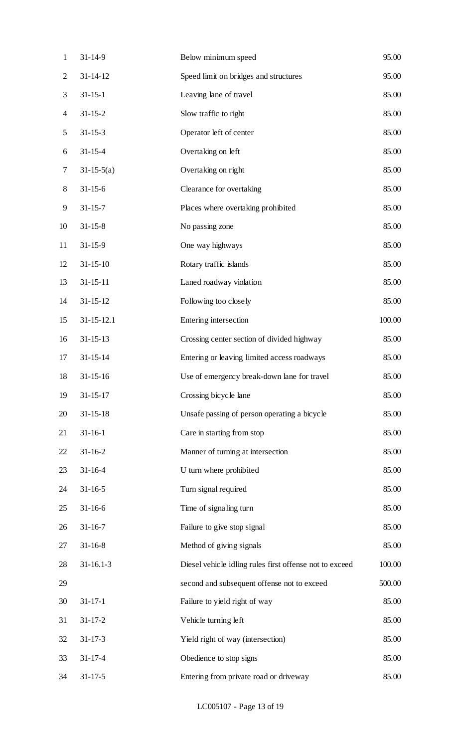| $\mathbf{1}$   | $31 - 14 - 9$    | Below minimum speed                                     | 95.00  |
|----------------|------------------|---------------------------------------------------------|--------|
| $\overline{2}$ | $31 - 14 - 12$   | Speed limit on bridges and structures                   | 95.00  |
| 3              | $31 - 15 - 1$    | Leaving lane of travel                                  | 85.00  |
| $\overline{4}$ | $31 - 15 - 2$    | Slow traffic to right                                   | 85.00  |
| 5              | $31 - 15 - 3$    | Operator left of center                                 | 85.00  |
| 6              | $31 - 15 - 4$    | Overtaking on left                                      | 85.00  |
| 7              | $31-15-5(a)$     | Overtaking on right                                     | 85.00  |
| $8\,$          | $31 - 15 - 6$    | Clearance for overtaking                                | 85.00  |
| 9              | $31 - 15 - 7$    | Places where overtaking prohibited                      | 85.00  |
| 10             | $31 - 15 - 8$    | No passing zone                                         | 85.00  |
| 11             | $31 - 15 - 9$    | One way highways                                        | 85.00  |
| 12             | $31 - 15 - 10$   | Rotary traffic islands                                  | 85.00  |
| 13             | $31 - 15 - 11$   | Laned roadway violation                                 | 85.00  |
| 14             | $31 - 15 - 12$   | Following too closely                                   | 85.00  |
| 15             | $31 - 15 - 12.1$ | Entering intersection                                   | 100.00 |
| 16             | $31 - 15 - 13$   | Crossing center section of divided highway              | 85.00  |
| 17             | $31 - 15 - 14$   | Entering or leaving limited access roadways             | 85.00  |
| 18             | $31 - 15 - 16$   | Use of emergency break-down lane for travel             | 85.00  |
| 19             | $31 - 15 - 17$   | Crossing bicycle lane                                   | 85.00  |
| 20             | $31 - 15 - 18$   | Unsafe passing of person operating a bicycle            | 85.00  |
| 21             | $31 - 16 - 1$    | Care in starting from stop                              | 85.00  |
| 22             | $31 - 16 - 2$    | Manner of turning at intersection                       | 85.00  |
| 23             | $31 - 16 - 4$    | U turn where prohibited                                 | 85.00  |
| 24             | $31 - 16 - 5$    | Turn signal required                                    | 85.00  |
| 25             | $31 - 16 - 6$    | Time of signaling turn                                  | 85.00  |
| 26             | $31 - 16 - 7$    | Failure to give stop signal                             | 85.00  |
| 27             | $31 - 16 - 8$    | Method of giving signals                                | 85.00  |
| 28             | $31 - 16.1 - 3$  | Diesel vehicle idling rules first offense not to exceed | 100.00 |
| 29             |                  | second and subsequent offense not to exceed             | 500.00 |
| 30             | $31 - 17 - 1$    | Failure to yield right of way                           | 85.00  |
| 31             | $31 - 17 - 2$    | Vehicle turning left                                    | 85.00  |
| 32             | $31 - 17 - 3$    | Yield right of way (intersection)                       | 85.00  |
| 33             | $31 - 17 - 4$    | Obedience to stop signs                                 | 85.00  |
| 34             | $31 - 17 - 5$    | Entering from private road or driveway                  | 85.00  |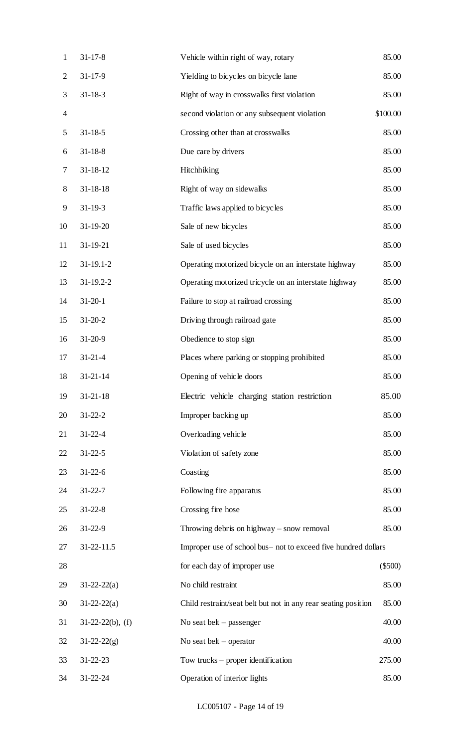| $\mathbf{1}$             | $31 - 17 - 8$       | Vehicle within right of way, rotary                            | 85.00     |
|--------------------------|---------------------|----------------------------------------------------------------|-----------|
| $\overline{2}$           | $31 - 17 - 9$       | Yielding to bicycles on bicycle lane                           | 85.00     |
| 3                        | $31 - 18 - 3$       | Right of way in crosswalks first violation                     | 85.00     |
| $\overline{\mathcal{A}}$ |                     | second violation or any subsequent violation                   | \$100.00  |
| 5                        | $31 - 18 - 5$       | Crossing other than at crosswalks                              | 85.00     |
| 6                        | $31 - 18 - 8$       | Due care by drivers                                            | 85.00     |
| 7                        | $31 - 18 - 12$      | Hitchhiking                                                    | 85.00     |
| $8\,$                    | $31 - 18 - 18$      | Right of way on sidewalks                                      | 85.00     |
| 9                        | $31 - 19 - 3$       | Traffic laws applied to bicycles                               | 85.00     |
| 10                       | 31-19-20            | Sale of new bicycles                                           | 85.00     |
| 11                       | 31-19-21            | Sale of used bicycles                                          | 85.00     |
| 12                       | $31-19.1-2$         | Operating motorized bicycle on an interstate highway           | 85.00     |
| 13                       | $31 - 19.2 - 2$     | Operating motorized tricycle on an interstate highway          | 85.00     |
| 14                       | $31 - 20 - 1$       | Failure to stop at railroad crossing                           | 85.00     |
| 15                       | $31 - 20 - 2$       | Driving through railroad gate                                  | 85.00     |
| 16                       | $31 - 20 - 9$       | Obedience to stop sign                                         | 85.00     |
| 17                       | $31 - 21 - 4$       | Places where parking or stopping prohibited                    | 85.00     |
| 18                       | $31 - 21 - 14$      | Opening of vehicle doors                                       | 85.00     |
| 19                       | $31 - 21 - 18$      | Electric vehicle charging station restriction                  | 85.00     |
| 20                       | $31 - 22 - 2$       | Improper backing up                                            | 85.00     |
| 21                       | $31 - 22 - 4$       | Overloading vehicle                                            | 85.00     |
| 22                       | $31 - 22 - 5$       | Violation of safety zone                                       | 85.00     |
| 23                       | $31 - 22 - 6$       | Coasting                                                       | 85.00     |
| 24                       | $31 - 22 - 7$       | Following fire apparatus                                       | 85.00     |
| 25                       | $31 - 22 - 8$       | Crossing fire hose                                             | 85.00     |
| 26                       | $31 - 22 - 9$       | Throwing debris on highway $-$ snow removal                    | 85.00     |
| 27                       | 31-22-11.5          | Improper use of school bus- not to exceed five hundred dollars |           |
| 28                       |                     | for each day of improper use                                   | $(\$500)$ |
| 29                       | $31 - 22 - 22(a)$   | No child restraint                                             | 85.00     |
| 30                       | $31 - 22 - 22(a)$   | Child restraint/seat belt but not in any rear seating position | 85.00     |
| 31                       | $31-22-22(b)$ , (f) | No seat belt $-$ passenger                                     | 40.00     |
| 32                       | $31 - 22 - 22(g)$   | No seat belt $-$ operator                                      | 40.00     |
| 33                       | $31 - 22 - 23$      | Tow trucks $-$ proper identification                           | 275.00    |
| 34                       | $31 - 22 - 24$      | Operation of interior lights                                   | 85.00     |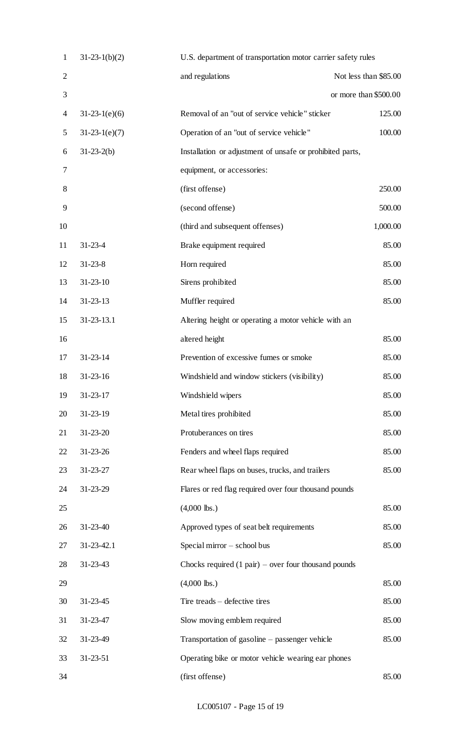| $\mathbf{1}$   | $31-23-1(b)(2)$ | U.S. department of transportation motor carrier safety rules   |                       |
|----------------|-----------------|----------------------------------------------------------------|-----------------------|
| $\overline{2}$ |                 | and regulations                                                | Not less than \$85.00 |
| 3              |                 |                                                                | or more than \$500.00 |
| 4              | $31-23-1(e)(6)$ | Removal of an "out of service vehicle" sticker                 | 125.00                |
| 5              | $31-23-1(e)(7)$ | Operation of an "out of service vehicle"                       | 100.00                |
| 6              | $31-23-2(b)$    | Installation or adjustment of unsafe or prohibited parts,      |                       |
| 7              |                 | equipment, or accessories:                                     |                       |
| 8              |                 | (first offense)                                                | 250.00                |
| 9              |                 | (second offense)                                               | 500.00                |
| 10             |                 | (third and subsequent offenses)                                | 1,000.00              |
| 11             | $31 - 23 - 4$   | Brake equipment required                                       | 85.00                 |
| 12             | $31 - 23 - 8$   | Horn required                                                  | 85.00                 |
| 13             | $31 - 23 - 10$  | Sirens prohibited                                              | 85.00                 |
| 14             | $31 - 23 - 13$  | Muffler required                                               | 85.00                 |
| 15             | 31-23-13.1      | Altering height or operating a motor vehicle with an           |                       |
| 16             |                 | altered height                                                 | 85.00                 |
| 17             | $31 - 23 - 14$  | Prevention of excessive fumes or smoke                         | 85.00                 |
| 18             | $31 - 23 - 16$  | Windshield and window stickers (visibility)                    | 85.00                 |
| 19             | $31 - 23 - 17$  | Windshield wipers                                              | 85.00                 |
| 20             | $31 - 23 - 19$  | Metal tires prohibited                                         | 85.00                 |
| 21             | $31 - 23 - 20$  | Protuberances on tires                                         | 85.00                 |
| 22             | $31 - 23 - 26$  | Fenders and wheel flaps required                               | 85.00                 |
| 23             | $31 - 23 - 27$  | Rear wheel flaps on buses, trucks, and trailers                | 85.00                 |
| 24             | 31-23-29        | Flares or red flag required over four thousand pounds          |                       |
| 25             |                 | $(4,000$ lbs.)                                                 | 85.00                 |
| 26             | $31 - 23 - 40$  | Approved types of seat belt requirements                       | 85.00                 |
| 27             | 31-23-42.1      | Special mirror - school bus                                    | 85.00                 |
| 28             | $31 - 23 - 43$  | Chocks required $(1 \text{ pair})$ – over four thousand pounds |                       |
| 29             |                 | $(4,000$ lbs.)                                                 | 85.00                 |
| 30             | $31 - 23 - 45$  | Tire treads – defective tires                                  | 85.00                 |
| 31             | 31-23-47        | Slow moving emblem required                                    | 85.00                 |
| 32             | 31-23-49        | Transportation of gasoline – passenger vehicle                 | 85.00                 |
| 33             | $31 - 23 - 51$  | Operating bike or motor vehicle wearing ear phones             |                       |
| 34             |                 | (first offense)                                                | 85.00                 |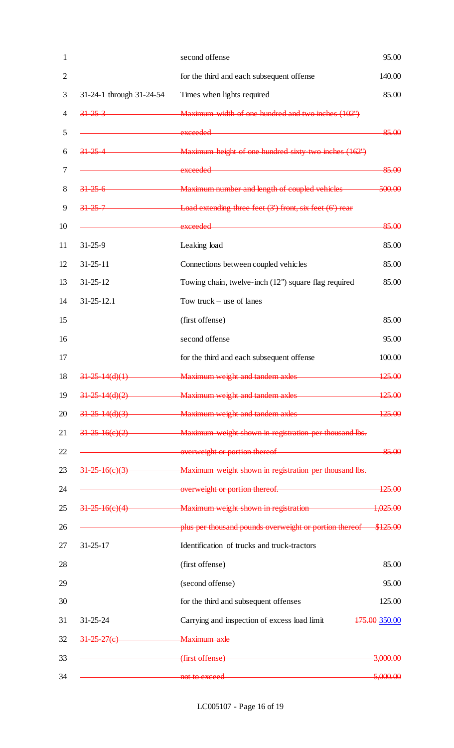|                          | second offense                                                                                                           | 95.00                    |
|--------------------------|--------------------------------------------------------------------------------------------------------------------------|--------------------------|
|                          | for the third and each subsequent offense                                                                                | 140.00                   |
| 31-24-1 through 31-24-54 | Times when lights required                                                                                               | 85.00                    |
| $31 - 25 - 3$            | Maximum width of one hundred and two inches (102")                                                                       |                          |
|                          | exceeded                                                                                                                 | 85.00                    |
| $31 - 25 - 4$            | Maximum height of one hundred sixty two inches (162")                                                                    |                          |
|                          | exceeded <b>example and a series of the series of the series of the series of the series of the series of the series</b> | 85.00                    |
| $31\,25\,6$              | Maximum number and length of coupled vehicles                                                                            | 500.00                   |
| $31 - 25 - 7$            | Load extending three feet $(3')$ front, six feet $(6')$ rear                                                             |                          |
|                          | exceeded <b>example and a series of the series of the series of the series of the series of the series of the series</b> | 85.00                    |
| $31 - 25 - 9$            | Leaking load                                                                                                             | 85.00                    |
| $31 - 25 - 11$           | Connections between coupled vehicles                                                                                     | 85.00                    |
| $31 - 25 - 12$           | Towing chain, twelve-inch (12") square flag required                                                                     | 85.00                    |
| $31 - 25 - 12.1$         | Tow truck $-$ use of lanes                                                                                               |                          |
|                          | (first offense)                                                                                                          | 85.00                    |
|                          | second offense                                                                                                           | 95.00                    |
|                          | for the third and each subsequent offense                                                                                | 100.00                   |
| $31 - 25 - 14(d)(1)$     | Maximum weight and tandem axles                                                                                          | 125.00                   |
|                          | 31-25-14(d)(2) Maximum weight and tandem axles                                                                           | 125.00                   |
|                          | 31-25-14(d)(3) Maximum weight and tandem axles                                                                           | 125.00                   |
|                          | 31-25-16(e)(2) Maximum weight shown in registration per thousand lbs.                                                    |                          |
|                          | expression overweight or portion thereof                                                                                 | 85.00                    |
|                          | 31-25-16(e)(3) Maximum weight shown in registration per thousand lbs.                                                    |                          |
|                          | expanding overweight or portion thereof. 125.00                                                                          |                          |
|                          | 31-25-16(e)(4) Maximum weight shown in registration 1,025.00                                                             |                          |
|                          | plus per thousand pounds overweight or portion thereof \$125.00                                                          |                          |
| $31 - 25 - 17$           | Identification of trucks and truck-tractors                                                                              |                          |
|                          | (first offense)                                                                                                          | 85.00                    |
|                          | (second offense)                                                                                                         | 95.00                    |
|                          | for the third and subsequent offenses                                                                                    | 125.00                   |
| $31 - 25 - 24$           | Carrying and inspection of excess load limit                                                                             | <del>175.00</del> 350.00 |
| $31 - 25 - 27(e)$        | Maximum axle                                                                                                             |                          |
|                          | <u> 1989 - Johann Stein, mars an t-Amerikaansk ferskeidsmeister (</u><br>(first offense)                                 | <del>3,000.00</del>      |
|                          | not to exceed <b>with a set of the exceed</b>                                                                            | 5,000.00                 |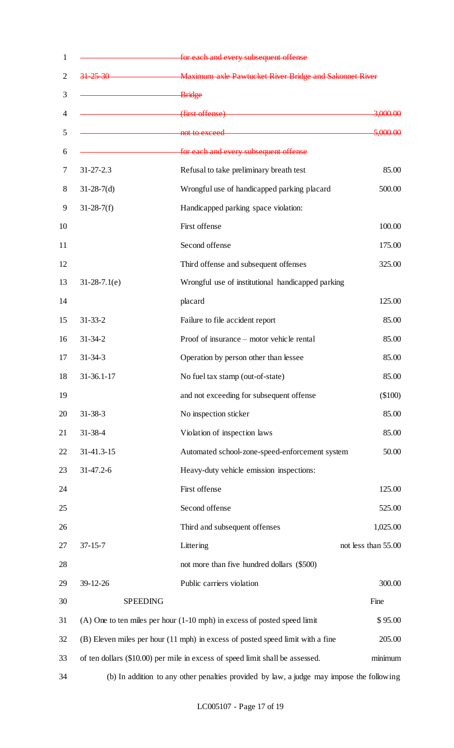| $\mathbf{1}$   |                  | for each and every subsequent offense                                                    |                     |
|----------------|------------------|------------------------------------------------------------------------------------------|---------------------|
| $\overline{2}$ | $31 - 25 - 30$   | <b>EXAMPLE 2018</b> Maximum axle Pawtucket River Bridge and Sakonnet River               |                     |
| 3              |                  | <b>Bridge</b>                                                                            |                     |
| 4              |                  | <b>Example 2018</b> (first offense)                                                      | <del>3,000.00</del> |
| 5              |                  | not to exceed <b>with a set of the exceed</b>                                            | 5,000.00            |
| 6              |                  | for each and every subsequent offense                                                    |                     |
| 7              | $31 - 27 - 2.3$  | Refusal to take preliminary breath test                                                  | 85.00               |
| $8\,$          | $31-28-7(d)$     | Wrongful use of handicapped parking placard                                              | 500.00              |
| 9              | $31-28-7(f)$     | Handicapped parking space violation:                                                     |                     |
| 10             |                  | First offense                                                                            | 100.00              |
| 11             |                  | Second offense                                                                           | 175.00              |
| 12             |                  | Third offense and subsequent offenses                                                    | 325.00              |
| 13             | $31-28-7.1(e)$   | Wrongful use of institutional handicapped parking                                        |                     |
| 14             |                  | placard                                                                                  | 125.00              |
| 15             | $31 - 33 - 2$    | Failure to file accident report                                                          | 85.00               |
| 16             | $31 - 34 - 2$    | Proof of insurance - motor vehicle rental                                                | 85.00               |
| 17             | $31 - 34 - 3$    | Operation by person other than lessee                                                    | 85.00               |
| 18             | $31 - 36.1 - 17$ | No fuel tax stamp (out-of-state)                                                         | 85.00               |
| 19             |                  | and not exceeding for subsequent offense                                                 | (\$100)             |
| 20             | $31 - 38 - 3$    | No inspection sticker                                                                    | 85.00               |
| 21             | $31 - 38 - 4$    | Violation of inspection laws                                                             | 85.00               |
| 22             | 31-41.3-15       | Automated school-zone-speed-enforcement system                                           | 50.00               |
| 23             | $31-47.2-6$      | Heavy-duty vehicle emission inspections:                                                 |                     |
| 24             |                  | First offense                                                                            | 125.00              |
| 25             |                  | Second offense                                                                           | 525.00              |
| 26             |                  | Third and subsequent offenses                                                            | 1,025.00            |
| 27             | $37 - 15 - 7$    | Littering                                                                                | not less than 55.00 |
| 28             |                  | not more than five hundred dollars (\$500)                                               |                     |
| 29             | 39-12-26         | Public carriers violation                                                                | 300.00              |
| 30             | <b>SPEEDING</b>  |                                                                                          | Fine                |
| 31             |                  | $(A)$ One to ten miles per hour $(1-10$ mph) in excess of posted speed limit             | \$95.00             |
| 32             |                  | (B) Eleven miles per hour (11 mph) in excess of posted speed limit with a fine           | 205.00              |
| 33             |                  | of ten dollars (\$10.00) per mile in excess of speed limit shall be assessed.            | minimum             |
| 34             |                  | (b) In addition to any other penalties provided by law, a judge may impose the following |                     |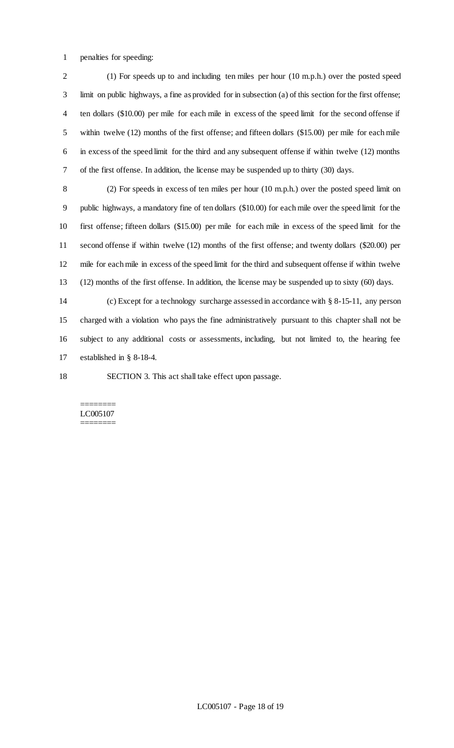penalties for speeding:

 (1) For speeds up to and including ten miles per hour (10 m.p.h.) over the posted speed limit on public highways, a fine as provided for in subsection (a) of this section for the first offense; ten dollars (\$10.00) per mile for each mile in excess of the speed limit for the second offense if within twelve (12) months of the first offense; and fifteen dollars (\$15.00) per mile for each mile in excess of the speed limit for the third and any subsequent offense if within twelve (12) months of the first offense. In addition, the license may be suspended up to thirty (30) days.

 (2) For speeds in excess of ten miles per hour (10 m.p.h.) over the posted speed limit on public highways, a mandatory fine of ten dollars (\$10.00) for each mile over the speed limit for the first offense; fifteen dollars (\$15.00) per mile for each mile in excess of the speed limit for the second offense if within twelve (12) months of the first offense; and twenty dollars (\$20.00) per mile for each mile in excess of the speed limit for the third and subsequent offense if within twelve (12) months of the first offense. In addition, the license may be suspended up to sixty (60) days.

 (c) Except for a technology surcharge assessed in accordance with § 8-15-11, any person charged with a violation who pays the fine administratively pursuant to this chapter shall not be subject to any additional costs or assessments, including, but not limited to, the hearing fee established in § 8-18-4.

SECTION 3. This act shall take effect upon passage.

#### ======== LC005107 ========